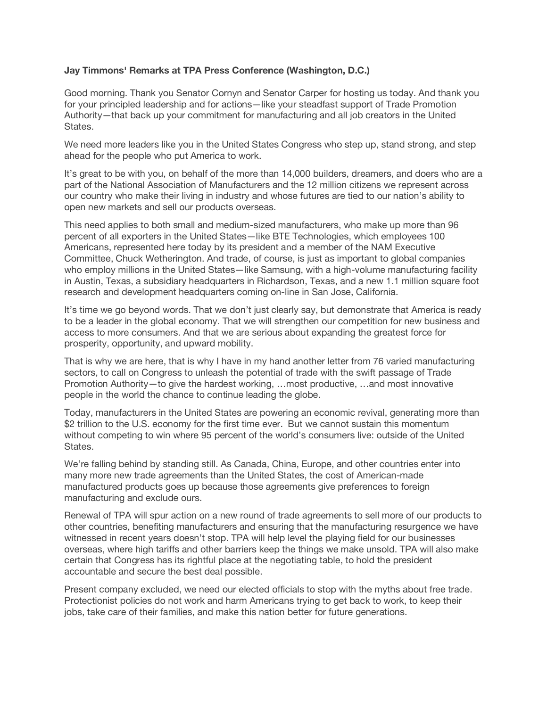## **Jay Timmons' Remarks at TPA Press Conference (Washington, D.C.)**

Good morning. Thank you Senator Cornyn and Senator Carper for hosting us today. And thank you for your principled leadership and for actions—like your steadfast support of Trade Promotion Authority—that back up your commitment for manufacturing and all job creators in the United States.

We need more leaders like you in the United States Congress who step up, stand strong, and step ahead for the people who put America to work.

It's great to be with you, on behalf of the more than 14,000 builders, dreamers, and doers who are a part of the National Association of Manufacturers and the 12 million citizens we represent across our country who make their living in industry and whose futures are tied to our nation's ability to open new markets and sell our products overseas.

This need applies to both small and medium-sized manufacturers, who make up more than 96 percent of all exporters in the United States—like BTE Technologies, which employees 100 Americans, represented here today by its president and a member of the NAM Executive Committee, Chuck Wetherington. And trade, of course, is just as important to global companies who employ millions in the United States—like Samsung, with a high-volume manufacturing facility in Austin, Texas, a subsidiary headquarters in Richardson, Texas, and a new 1.1 million square foot research and development headquarters coming on-line in San Jose, California.

It's time we go beyond words. That we don't just clearly say, but demonstrate that America is ready to be a leader in the global economy. That we will strengthen our competition for new business and access to more consumers. And that we are serious about expanding the greatest force for prosperity, opportunity, and upward mobility.

That is why we are here, that is why I have in my hand another letter from 76 varied manufacturing sectors, to call on Congress to unleash the potential of trade with the swift passage of Trade Promotion Authority—to give the hardest working, …most productive, …and most innovative people in the world the chance to continue leading the globe.

Today, manufacturers in the United States are powering an economic revival, generating more than \$2 trillion to the U.S. economy for the first time ever. But we cannot sustain this momentum without competing to win where 95 percent of the world's consumers live: outside of the United States.

We're falling behind by standing still. As Canada, China, Europe, and other countries enter into many more new trade agreements than the United States, the cost of American-made manufactured products goes up because those agreements give preferences to foreign manufacturing and exclude ours.

Renewal of TPA will spur action on a new round of trade agreements to sell more of our products to other countries, benefiting manufacturers and ensuring that the manufacturing resurgence we have witnessed in recent years doesn't stop. TPA will help level the playing field for our businesses overseas, where high tariffs and other barriers keep the things we make unsold. TPA will also make certain that Congress has its rightful place at the negotiating table, to hold the president accountable and secure the best deal possible.

Present company excluded, we need our elected officials to stop with the myths about free trade. Protectionist policies do not work and harm Americans trying to get back to work, to keep their jobs, take care of their families, and make this nation better for future generations.